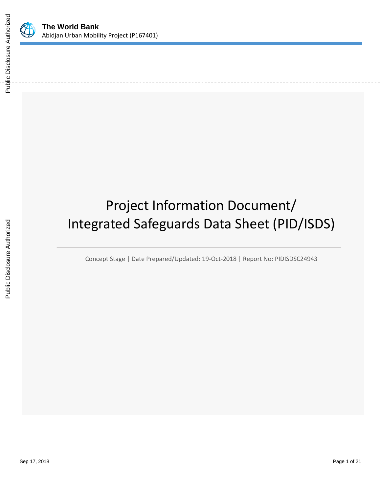

# Project Information Document/ Integrated Safeguards Data Sheet (PID/ISDS)

Concept Stage | Date Prepared/Updated: 19-Oct-2018 | Report No: PIDISDSC24943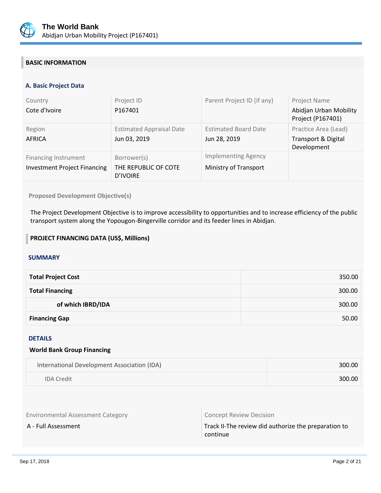

# **BASIC INFORMATION**

### **A. Basic Project Data**

| Country<br>Cote d'Ivoire                                           | Project ID<br>P167401                                  | Parent Project ID (if any)                          | Project Name<br>Abidjan Urban Mobility<br>Project (P167401)           |
|--------------------------------------------------------------------|--------------------------------------------------------|-----------------------------------------------------|-----------------------------------------------------------------------|
| Region<br>AFRICA                                                   | <b>Estimated Appraisal Date</b><br>Jun 03, 2019        | <b>Estimated Board Date</b><br>Jun 28, 2019         | Practice Area (Lead)<br><b>Transport &amp; Digital</b><br>Development |
| <b>Financing Instrument</b><br><b>Investment Project Financing</b> | Borrower(s)<br>THE REPUBLIC OF COTE<br><b>D'IVOIRE</b> | <b>Implementing Agency</b><br>Ministry of Transport |                                                                       |

#### **Proposed Development Objective(s)**

The Project Development Objective is to improve accessibility to opportunities and to increase efficiency of the public transport system along the Yopougon-Bingerville corridor and its feeder lines in Abidjan.

#### **PROJECT FINANCING DATA (US\$, Millions)**

# **SUMMARY**

| <b>Total Project Cost</b> | 350.00 |
|---------------------------|--------|
| <b>Total Financing</b>    | 300.00 |
| of which IBRD/IDA         | 300.00 |
| <b>Financing Gap</b>      | 50.00  |

#### DETAILS

#### **World Bank Group Financing**

| International Development Association (IDA) | 300.00 |
|---------------------------------------------|--------|
| <b>IDA Credit</b>                           | 300.00 |

Environmental Assessment Category **Concept Review Decision** 

A - Full Assessment Track II-The review did authorize the preparation to continue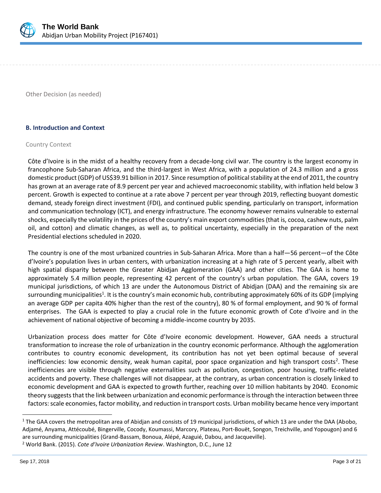

Other Decision (as needed)

#### **B. Introduction and Context**

#### Country Context

Côte d'Ivoire is in the midst of a healthy recovery from a decade-long civil war. The country is the largest economy in francophone Sub-Saharan Africa, and the third-largest in West Africa, with a population of 24.3 million and a gross domestic product (GDP) of US\$39.91 billion in 2017. Since resumption of political stability at the end of 2011, the country has grown at an average rate of 8.9 percent per year and achieved macroeconomic stability, with inflation held below 3 percent. Growth is expected to continue at a rate above 7 percent per year through 2019, reflecting buoyant domestic demand, steady foreign direct investment (FDI), and continued public spending, particularly on transport, information and communication technology (ICT), and energy infrastructure. The economy however remains vulnerable to external shocks, especially the volatility in the prices of the country's main export commodities (that is, cocoa, cashew nuts, palm oil, and cotton) and climatic changes, as well as, to political uncertainty, especially in the preparation of the next Presidential elections scheduled in 2020.

The country is one of the most urbanized countries in Sub-Saharan Africa. More than a half—56 percent—of the Côte d'Ivoire's population lives in urban centers, with urbanization increasing at a high rate of 5 percent yearly, albeit with high spatial disparity between the Greater Abidjan Agglomeration (GAA) and other cities. The GAA is home to approximately 5.4 million people, representing 42 percent of the country's urban population. The GAA, covers 19 municipal jurisdictions, of which 13 are under the Autonomous District of Abidjan (DAA) and the remaining six are surrounding municipalities<sup>1</sup>. It is the country's main economic hub, contributing approximately 60% of its GDP (implying an average GDP per capita 40% higher than the rest of the country), 80 % of formal employment, and 90 % of formal enterprises. The GAA is expected to play a crucial role in the future economic growth of Cote d'Ivoire and in the achievement of national objective of becoming a middle-income country by 2035.

Urbanization process does matter for Côte d'Ivoire economic development. However, GAA needs a structural transformation to increase the role of urbanization in the country economic performance. Although the agglomeration contributes to country economic development, its contribution has not yet been optimal because of several inefficiencies: low economic density, weak human capital, poor space organization and high transport costs<sup>2</sup>. These inefficiencies are visible through negative externalities such as pollution, congestion, poor housing, traffic-related accidents and poverty. These challenges will not disappear, at the contrary, as urban concentration is closely linked to economic development and GAA is expected to growth further, reaching over 10 million habitants by 2040. Economic theory suggests that the link between urbanization and economic performance is through the interaction between three factors: scale economies, factor mobility, and reduction in transport costs. Urban mobility became hence very important

 $1$  The GAA covers the metropolitan area of Abidjan and consists of 19 municipal jurisdictions, of which 13 are under the DAA (Abobo, Adjamé, Anyama, Attécoubé, Bingerville, Cocody, Koumassi, Marcory, Plateau, Port-Bouët, Songon, Treichville, and Yopougon) and 6 are surrounding municipalities (Grand-Bassam, Bonoua, Alépé, Azaguié, Dabou, and Jacqueville).

<sup>2</sup> World Bank. (2015). *Cote d'Ivoire Urbanization Review*. Washington, D.C., June 12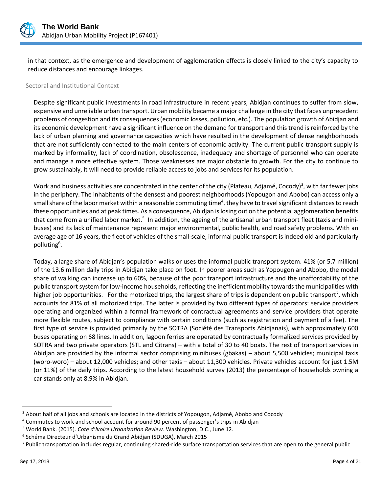

in that context, as the emergence and development of agglomeration effects is closely linked to the city's capacity to reduce distances and encourage linkages.

#### Sectoral and Institutional Context

Despite significant public investments in road infrastructure in recent years, Abidjan continues to suffer from slow, expensive and unreliable urban transport. Urban mobility became a major challenge in the city that faces unprecedent problems of congestion and its consequences (economic losses, pollution, etc.). The population growth of Abidjan and its economic development have a significant influence on the demand for transport and this trend is reinforced by the lack of urban planning and governance capacities which have resulted in the development of dense neighborhoods that are not sufficiently connected to the main centers of economic activity. The current public transport supply is marked by informality, lack of coordination, obsolescence, inadequacy and shortage of personnel who can operate and manage a more effective system. Those weaknesses are major obstacle to growth. For the city to continue to grow sustainably, it will need to provide reliable access to jobs and services for its population.

Work and business activities are concentrated in the center of the city (Plateau, Adjamé, Cocody)<sup>3</sup>, with far fewer jobs in the periphery. The inhabitants of the densest and poorest neighborhoods (Yopougon and Abobo) can access only a small share of the labor market within a reasonable commuting time<sup>4</sup>, they have to travel significant distances to reach these opportunities and at peak times. As a consequence, Abidjan is losing out on the potential agglomeration benefits that come from a unified labor market.<sup>5</sup> In addition, the ageing of the artisanal urban transport fleet (taxis and minibuses) and its lack of maintenance represent major environmental, public health, and road safety problems. With an average age of 16 years, the fleet of vehicles of the small-scale, informal public transport is indeed old and particularly polluting<sup>6</sup>.

Today, a large share of Abidjan's population walks or uses the informal public transport system. 41% (or 5.7 million) of the 13.6 million daily trips in Abidjan take place on foot. In poorer areas such as Yopougon and Abobo, the modal share of walking can increase up to 60%, because of the poor transport infrastructure and the unaffordability of the public transport system for low-income households, reflecting the inefficient mobility towards the municipalities with higher job opportunities. For the motorized trips, the largest share of trips is dependent on public transport<sup>7</sup>, which accounts for 81% of all motorized trips. The latter is provided by two different types of operators: service providers operating and organized within a formal framework of contractual agreements and service providers that operate more flexible routes, subject to compliance with certain conditions (such as registration and payment of a fee). The first type of service is provided primarily by the SOTRA (Société des Transports Abidjanais), with approximately 600 buses operating on 68 lines. In addition, lagoon ferries are operated by contractually formalized services provided by SOTRA and two private operators (STL and Citrans) – with a total of 30 to 40 boats. The rest of transport services in Abidjan are provided by the informal sector comprising minibuses (gbakas) – about 5,500 vehicles; municipal taxis (woro-woro) – about 12,000 vehicles; and other taxis – about 11,300 vehicles. Private vehicles account for just 1.5M (or 11%) of the daily trips. According to the latest household survey (2013) the percentage of households owning a car stands only at 8.9% in Abidjan.

<sup>&</sup>lt;sup>3</sup> About half of all jobs and schools are located in the districts of Yopougon, Adjamé, Abobo and Cocody

<sup>4</sup> Commutes to work and school account for around 90 percent of passenger's trips in Abidjan

<sup>5</sup> World Bank. (2015). *Cote d'Ivoire Urbanization Review*. Washington, D.C., June 12.

<sup>6</sup> Schéma Directeur d'Urbanisme du Grand Abidjan (SDUGA), March 2015

<sup>&</sup>lt;sup>7</sup> Public transportation includes regular, continuing shared-ride surface transportation services that are open to the general public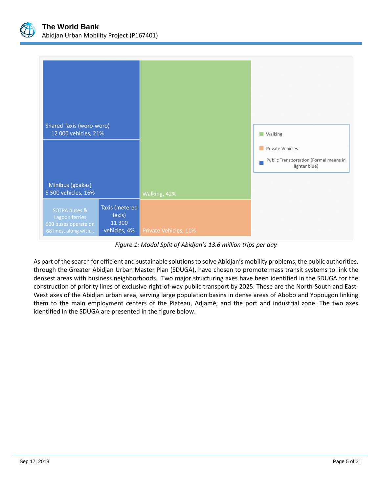

| <b>Shared Taxis (woro-woro)</b><br>12 000 vehicles, 21%<br>Minibus (gbakas)<br>5 500 vehicles, 16% |                                                    |                       | <b>Walking</b><br>Private Vehicles<br>Public Transportation (Formal means in<br>lighter blue) |
|----------------------------------------------------------------------------------------------------|----------------------------------------------------|-----------------------|-----------------------------------------------------------------------------------------------|
|                                                                                                    |                                                    | Walking, 42%          |                                                                                               |
| SOTRA buses &<br>Lagoon ferries<br>600 buses operate on<br>68 lines, along with                    | Taxis (metered<br>taxis)<br>11 300<br>vehicles, 4% | Private Vehicles, 11% |                                                                                               |

*Figure 1: Modal Split of Abidjan's 13.6 million trips per day*

As part of the search for efficient and sustainable solutions to solve Abidjan's mobility problems, the public authorities, through the Greater Abidjan Urban Master Plan (SDUGA), have chosen to promote mass transit systems to link the densest areas with business neighborhoods. Two major structuring axes have been identified in the SDUGA for the construction of priority lines of exclusive right-of-way public transport by 2025. These are the North-South and East-West axes of the Abidjan urban area, serving large population basins in dense areas of Abobo and Yopougon linking them to the main employment centers of the Plateau, Adjamé, and the port and industrial zone. The two axes identified in the SDUGA are presented in the figure below.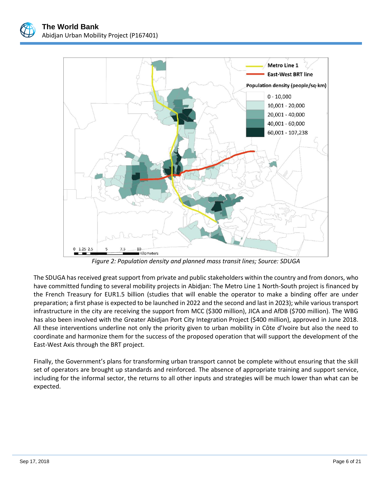

*Figure 2: Population density and planned mass transit lines; Source: SDUGA*

The SDUGA has received great support from private and public stakeholders within the country and from donors, who have committed funding to several mobility projects in Abidjan: The Metro Line 1 North-South project is financed by the French Treasury for EUR1.5 billion (studies that will enable the operator to make a binding offer are under preparation; a first phase is expected to be launched in 2022 and the second and last in 2023); while various transport infrastructure in the city are receiving the support from MCC (\$300 million), JICA and AfDB (\$700 million). The WBG has also been involved with the Greater Abidjan Port City Integration Project (\$400 million), approved in June 2018. All these interventions underline not only the priority given to urban mobility in Côte d'Ivoire but also the need to coordinate and harmonize them for the success of the proposed operation that will support the development of the East-West Axis through the BRT project.

Finally, the Government's plans for transforming urban transport cannot be complete without ensuring that the skill set of operators are brought up standards and reinforced. The absence of appropriate training and support service, including for the informal sector, the returns to all other inputs and strategies will be much lower than what can be expected.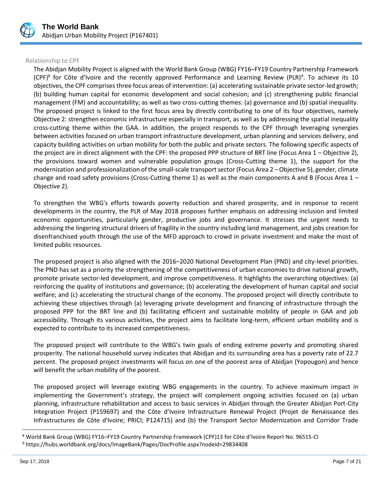

#### Relationship to CPF

The Abidjan Mobility Project is aligned with the World Bank Group (WBG) FY16–FY19 Country Partnership Framework (CPF)<sup>8</sup> for Côte d'Ivoire and the recently approved Performance and Learning Review (PLR)<sup>9</sup>. To achieve its 10 objectives, the CPF comprises three focus areas of intervention: (a) accelerating sustainable private sector‐led growth; (b) building human capital for economic development and social cohesion; and (c) strengthening public financial management (FM) and accountability; as well as two cross-cutting themes: (a) governance and (b) spatial inequality. The proposed project is linked to the first focus area by directly contributing to one of its four objectives, namely Objective 2: strengthen economic infrastructure especially in transport, as well as by addressing the spatial inequality cross-cutting theme within the GAA. In addition, the project responds to the CPF through leveraging synergies between activities focused on urban transport infrastructure development, urban planning and services delivery, and capacity building activities on urban mobility for both the public and private sectors. The following specific aspects of the project are in direct alignment with the CPF: the proposed PPP structure of BRT line (Focus Area 1 – Objective 2), the provisions toward women and vulnerable population groups (Cross-Cutting theme 1), the support for the modernization and professionalization of the small-scale transport sector (Focus Area 2 – Objective 5), gender, climate change and road safety provisions (Cross-Cutting theme 1) as well as the main components A and B (Focus Area 1 – Objective 2).

To strengthen the WBG's efforts towards poverty reduction and shared prosperity, and in response to recent developments in the country, the PLR of May 2018 proposes further emphasis on addressing inclusion and limited economic opportunities, particularly gender, productive jobs and governance. It stresses the urgent needs to addressing the lingering structural drivers of fragility in the country including land management, and jobs creation for disenfranchised youth through the use of the MFD approach to crowd in private investment and make the most of limited public resources.

The proposed project is also aligned with the 2016–2020 National Development Plan (PND) and city-level priorities. The PND has set as a priority the strengthening of the competitiveness of urban economies to drive national growth, promote private sector-led development, and improve competitiveness. It highlights the overarching objectives: (a) reinforcing the quality of institutions and governance; (b) accelerating the development of human capital and social welfare; and (c) accelerating the structural change of the economy. The proposed project will directly contribute to achieving these objectives through (a) leveraging private development and financing of infrastructure through the proposed PPP for the BRT line and (b) facilitating efficient and sustainable mobility of people in GAA and job accessibility. Through its various activities, the project aims to facilitate long-term, efficient urban mobility and is expected to contribute to its increased competitiveness.

The proposed project will contribute to the WBG's twin goals of ending extreme poverty and promoting shared prosperity. The national household survey indicates that Abidjan and its surrounding area has a poverty rate of 22.7 percent. The proposed project investments will focus on one of the poorest area of Abidjan (Yopougon) and hence will benefit the urban mobility of the poorest.

The proposed project will leverage existing WBG engagements in the country. To achieve maximum impact in implementing the Government's strategy, the project will complement ongoing activities focused on (a) urban planning, infrastructure rehabilitation and access to basic services in Abidjan through the Greater Abidjan Port-City Integration Project (P159697) and the Côte d'Ivoire Infrastructure Renewal Project (Projet de Renaissance des Infrastructures de Côte d'Ivoire; PRICI; P124715) and (b) the Transport Sector Modernization and Corridor Trade

<sup>8</sup> World Bank Group (WBG) FY16–FY19 Country Partnership Framework (CPF)13 for Côte d'Ivoire Report No. 96515-CI

<sup>9</sup> https://hubs.worldbank.org/docs/ImageBank/Pages/DocProfile.aspx?nodeid=29834408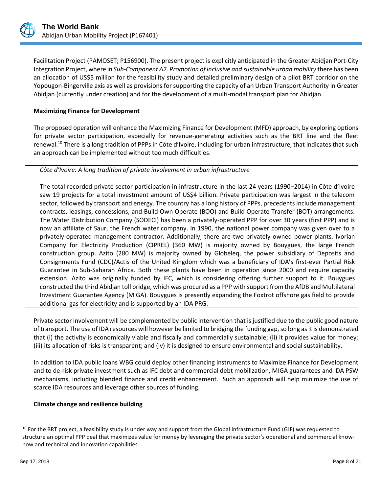

Facilitation Project (PAMOSET; P156900). The present project is explicitly anticipated in the Greater Abidjan Port-City Integration Project, where in *Sub-Component A2. Promotion of inclusive and sustainable urban mobility* there has been an allocation of US\$5 million for the feasibility study and detailed preliminary design of a pilot BRT corridor on the Yopougon-Bingerville axis as well as provisions for supporting the capacity of an Urban Transport Authority in Greater Abidjan (currently under creation) and for the development of a multi-modal transport plan for Abidjan.

# **Maximizing Finance for Development**

The proposed operation will enhance the Maximizing Finance for Development (MFD) approach, by exploring options for private sector participation, especially for revenue-generating activities such as the BRT line and the fleet renewal.<sup>10</sup> There is a long tradition of PPPs in Côte d'Ivoire, including for urban infrastructure, that indicates that such an approach can be implemented without too much difficulties.

# *Côte d'Ivoire: A long tradition of private involvement in urban infrastructure*

The total recorded private sector participation in infrastructure in the last 24 years (1990–2014) in Côte d'Ivoire saw 19 projects for a total investment amount of US\$4 billion. Private participation was largest in the telecom sector, followed by transport and energy. The country has a long history of PPPs, precedents include management contracts, leasings, concessions, and Build Own Operate (BOO) and Build Operate Transfer (BOT) arrangements. The Water Distribution Company (SODECI) has been a privately-operated PPP for over 30 years (first PPP) and is now an affiliate of Saur, the French water company. In 1990, the national power company was given over to a privately-operated management contractor. Additionally, there are two privately owned power plants. Ivorian Company for Electricity Production (CIPREL) (360 MW) is majority owned by Bouygues, the large French construction group. Azito (280 MW) is majority owned by Globeleq, the power subsidiary of Deposits and Consignments Fund (CDC)/Actis of the United Kingdom which was a beneficiary of IDA's first-ever Partial Risk Guarantee in Sub-Saharan Africa. Both these plants have been in operation since 2000 and require capacity extension. Azito was originally funded by IFC, which is considering offering further support to it. Bouygues constructed the third Abidjan toll bridge, which was procured as a PPP with support from the AfDB and Multilateral Investment Guarantee Agency (MIGA). Bouygues is presently expanding the Foxtrot offshore gas field to provide additional gas for electricity and is supported by an IDA PRG.

Private sector involvement will be complemented by public intervention that is justified due to the public good nature of transport. The use of IDA resources will however be limited to bridging the funding gap, so long as it is demonstrated that (i) the activity is economically viable and fiscally and commercially sustainable; (ii) it provides value for money; (iii) its allocation of risks is transparent; and (iv) it is designed to ensure environmental and social sustainability.

In addition to IDA public loans WBG could deploy other financing instruments to Maximize Finance for Development and to de-risk private investment such as IFC debt and commercial debt mobilization, MIGA guarantees and IDA PSW mechanisms, including blended finance and credit enhancement. Such an approach will help minimize the use of scarce IDA resources and leverage other sources of funding.

#### **Climate change and resilience building**

 $10$  For the BRT project, a feasibility study is under way and support from the Global Infrastructure Fund (GIF) was requested to structure an optimal PPP deal that maximizes value for money by leveraging the private sector's operational and commercial knowhow and technical and innovation capabilities.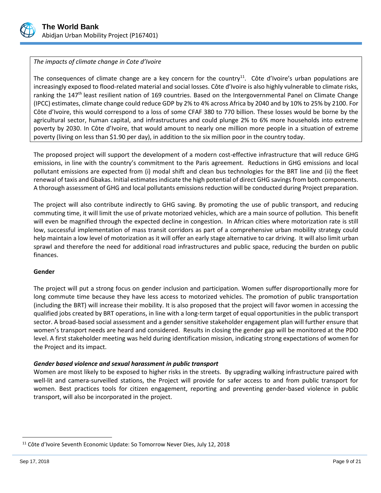

# *The impacts of climate change in Cote d'Ivoire*

The consequences of climate change are a key concern for the country<sup>11</sup>. Côte d'Ivoire's urban populations are increasingly exposed to flood-related material and social losses. Côte d'Ivoire is also highly vulnerable to climate risks, ranking the 147<sup>th</sup> least resilient nation of 169 countries. Based on the Intergovernmental Panel on Climate Change (IPCC) estimates, climate change could reduce GDP by 2% to 4% across Africa by 2040 and by 10% to 25% by 2100. For Côte d'Ivoire, this would correspond to a loss of some CFAF 380 to 770 billion. These losses would be borne by the agricultural sector, human capital, and infrastructures and could plunge 2% to 6% more households into extreme poverty by 2030. In Côte d'Ivoire, that would amount to nearly one million more people in a situation of extreme poverty (living on less than \$1.90 per day), in addition to the six million poor in the country today.

The proposed project will support the development of a modern cost-effective infrastructure that will reduce GHG emissions, in line with the country's commitment to the Paris agreement. Reductions in GHG emissions and local pollutant emissions are expected from (i) modal shift and clean bus technologies for the BRT line and (ii) the fleet renewal of taxis and Gbakas. Initial estimates indicate the high potential of direct GHG savings from both components. A thorough assessment of GHG and local pollutants emissions reduction will be conducted during Project preparation.

The project will also contribute indirectly to GHG saving. By promoting the use of public transport, and reducing commuting time, it will limit the use of private motorized vehicles, which are a main source of pollution. This benefit will even be magnified through the expected decline in congestion. In African cities where motorization rate is still low, successful implementation of mass transit corridors as part of a comprehensive urban mobility strategy could help maintain a low level of motorization as it will offer an early stage alternative to car driving. It will also limit urban sprawl and therefore the need for additional road infrastructures and public space, reducing the burden on public finances.

#### **Gender**

The project will put a strong focus on gender inclusion and participation. Women suffer disproportionally more for long commute time because they have less access to motorized vehicles. The promotion of public transportation (including the BRT) will increase their mobility. It is also proposed that the project will favor women in accessing the qualified jobs created by BRT operations, in line with a long-term target of equal opportunities in the public transport sector. A broad-based social assessment and a gender sensitive stakeholder engagement plan will further ensure that women's transport needs are heard and considered. Results in closing the gender gap will be monitored at the PDO level. A first stakeholder meeting was held during identification mission, indicating strong expectations of women for the Project and its impact.

#### *Gender based violence and sexual harassment in public transport*

Women are most likely to be exposed to higher risks in the streets. By upgrading walking infrastructure paired with well-lit and camera-surveilled stations, the Project will provide for safer access to and from public transport for women. Best practices tools for citizen engagement, reporting and preventing gender-based violence in public transport, will also be incorporated in the project.

<sup>&</sup>lt;sup>11</sup> Côte d'Ivoire Seventh Economic Update: So Tomorrow Never Dies, July 12, 2018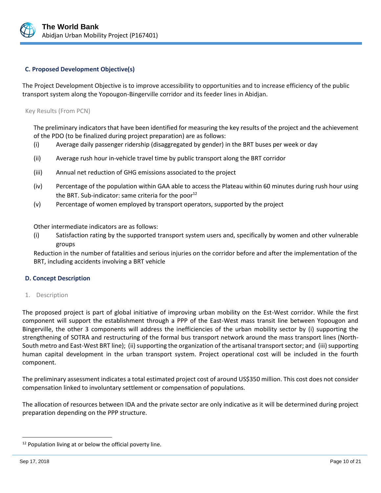

### **C. Proposed Development Objective(s)**

The Project Development Objective is to improve accessibility to opportunities and to increase efficiency of the public transport system along the Yopougon-Bingerville corridor and its feeder lines in Abidjan.

Key Results (From PCN)

The preliminary indicators that have been identified for measuring the key results of the project and the achievement of the PDO (to be finalized during project preparation) are as follows:

- (i) Average daily passenger ridership (disaggregated by gender) in the BRT buses per week or day
- (ii) Average rush hour in-vehicle travel time by public transport along the BRT corridor
- (iii) Annual net reduction of GHG emissions associated to the project
- (iv) Percentage of the population within GAA able to access the Plateau within 60 minutes during rush hour using the BRT. Sub-indicator: same criteria for the poor $^{12}$
- (v) Percentage of women employed by transport operators, supported by the project

Other intermediate indicators are as follows:

(i) Satisfaction rating by the supported transport system users and, specifically by women and other vulnerable groups

Reduction in the number of fatalities and serious injuries on the corridor before and after the implementation of the BRT, including accidents involving a BRT vehicle

#### **D. Concept Description**

1. Description

The proposed project is part of global initiative of improving urban mobility on the Est-West corridor. While the first component will support the establishment through a PPP of the East-West mass transit line between Yopougon and Bingerville, the other 3 components will address the inefficiencies of the urban mobility sector by (i) supporting the strengthening of SOTRA and restructuring of the formal bus transport network around the mass transport lines (North-South metro and East-West BRT line); (ii) supporting the organization of the artisanal transport sector; and (iii) supporting human capital development in the urban transport system. Project operational cost will be included in the fourth component.

The preliminary assessment indicates a total estimated project cost of around US\$350 million. This cost does not consider compensation linked to involuntary settlement or compensation of populations.

The allocation of resources between IDA and the private sector are only indicative as it will be determined during project preparation depending on the PPP structure.

<sup>&</sup>lt;sup>12</sup> Population living at or below the official poverty line.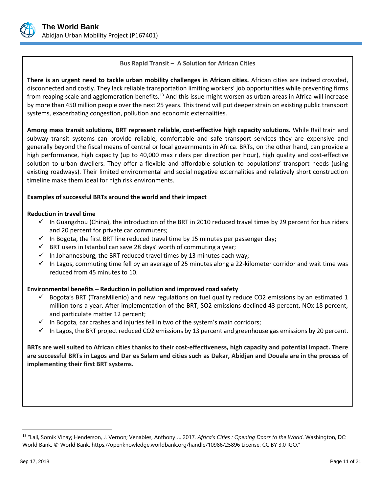

# <span id="page-10-0"></span>**Bus Rapid Transit – A Solution for African Cities**

**There is an urgent need to tackle urban mobility challenges in African cities.** African cities are indeed crowded, disconnected and costly. They lack reliable transportation limiting workers' job opportunities while preventing firms from reaping scale and agglomeration benefits.<sup>[13](#page-10-0)</sup> And this issue might worsen as urban areas in Africa will increase by more than 450 million people over the next 25 years. This trend will put deeper strain on existing public transport systems, exacerbating congestion, pollution and economic externalities.

**Among mass transit solutions, BRT represent reliable, cost-effective high capacity solutions.** While Rail train and subway transit systems can provide reliable, comfortable and safe transport services they are expensive and generally beyond the fiscal means of central or local governments in Africa. BRTs, on the other hand, can provide a high performance, high capacity (up to 40,000 max riders per direction per hour), high quality and cost-effective solution to urban dwellers. They offer a flexible and affordable solution to populations' transport needs (using existing roadways). Their limited environmental and social negative externalities and relatively short construction timeline make them ideal for high risk environments.

#### **Examples of successful BRTs around the world and their impact**

#### **Reduction in travel time**

- $\checkmark$  In Guangzhou (China), the introduction of the BRT in 2010 reduced travel times by 29 percent for bus riders and 20 percent for private car commuters;
- $\checkmark$  In Bogota, the first BRT line reduced travel time by 15 minutes per passenger day;
- $\checkmark$  BRT users in Istanbul can save 28 days' worth of commuting a year;
- $\checkmark$  In Johannesburg, the BRT reduced travel times by 13 minutes each way;
- $\checkmark$  In Lagos, commuting time fell by an average of 25 minutes along a 22-kilometer corridor and wait time was reduced from 45 minutes to 10.

#### **Environmental benefits – Reduction in pollution and improved road safety**

- Bogota's BRT (TransMilenio) and new regulations on fuel quality reduce CO2 emissions by an estimated 1 million tons a year. After implementation of the BRT, SO2 emissions declined 43 percent, NOx 18 percent, and particulate matter 12 percent;
- $\checkmark$  In Bogota, car crashes and injuries fell in two of the system's main corridors;
- $\checkmark$  In Lagos, the BRT project reduced CO2 emissions by 13 percent and greenhouse gas emissions by 20 percent.

**BRTs are well suited to African cities thanks to their cost-effectiveness, high capacity and potential impact. There are successful BRTs in Lagos and Dar es Salam and cities such as Dakar, Abidjan and Douala are in the process of implementing their first BRT systems.**

<sup>13</sup> "Lall, Somik Vinay; Henderson, J. Vernon; Venables, Anthony J.. 2017. *Africa's Cities : Opening Doors to the World*. Washington, DC: World Bank. © World Bank. https://openknowledge.worldbank.org/handle/10986/25896 License: CC BY 3.0 IGO."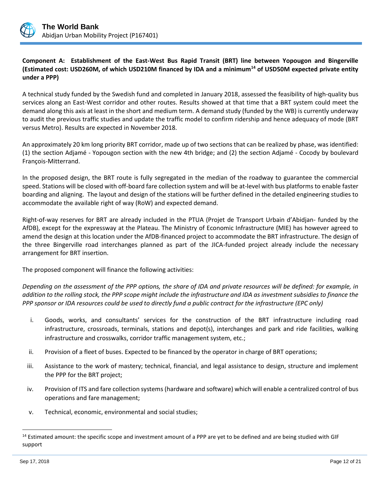

# **Component A: Establishment of the East-West Bus Rapid Transit (BRT) line between Yopougon and Bingerville (Estimated cost: USD260M, of which USD210M financed by IDA and a minimum<sup>14</sup> of USD50M expected private entity under a PPP)**

A technical study funded by the Swedish fund and completed in January 2018, assessed the feasibility of high-quality bus services along an East-West corridor and other routes. Results showed at that time that a BRT system could meet the demand along this axis at least in the short and medium term. A demand study (funded by the WB) is currently underway to audit the previous traffic studies and update the traffic model to confirm ridership and hence adequacy of mode (BRT versus Metro). Results are expected in November 2018.

An approximately 20 km long priority BRT corridor, made up of two sections that can be realized by phase, was identified: (1) the section Adjamé - Yopougon section with the new 4th bridge; and (2) the section Adjamé - Cocody by boulevard François-Mitterrand.

In the proposed design, the BRT route is fully segregated in the median of the roadway to guarantee the commercial speed. Stations will be closed with off-board fare collection system and will be at-level with bus platforms to enable faster boarding and aligning. The layout and design of the stations will be further defined in the detailed engineering studies to accommodate the available right of way (RoW) and expected demand.

Right-of-way reserves for BRT are already included in the PTUA (Projet de Transport Urbain d'Abidjan- funded by the AfDB), except for the expressway at the Plateau. The Ministry of Economic Infrastructure (MIE) has however agreed to amend the design at this location under the AfDB-financed project to accommodate the BRT infrastructure. The design of the three Bingerville road interchanges planned as part of the JICA-funded project already include the necessary arrangement for BRT insertion.

The proposed component will finance the following activities:

*Depending on the assessment of the PPP options, the share of IDA and private resources will be defined: for example, in addition to the rolling stock, the PPP scope might include the infrastructure and IDA as investment subsidies to finance the PPP sponsor or IDA resources could be used to directly fund a public contract for the infrastructure (EPC only)*

- i. Goods, works, and consultants' services for the construction of the BRT infrastructure including road infrastructure, crossroads, terminals, stations and depot(s), interchanges and park and ride facilities, walking infrastructure and crosswalks, corridor traffic management system, etc.;
- ii. Provision of a fleet of buses. Expected to be financed by the operator in charge of BRT operations;
- iii. Assistance to the work of mastery; technical, financial, and legal assistance to design, structure and implement the PPP for the BRT project;
- iv. Provision of ITS and fare collection systems (hardware and software) which will enable a centralized control of bus operations and fare management;
- v. Technical, economic, environmental and social studies;

<sup>&</sup>lt;sup>14</sup> Estimated amount: the specific scope and investment amount of a PPP are yet to be defined and are being studied with GIF support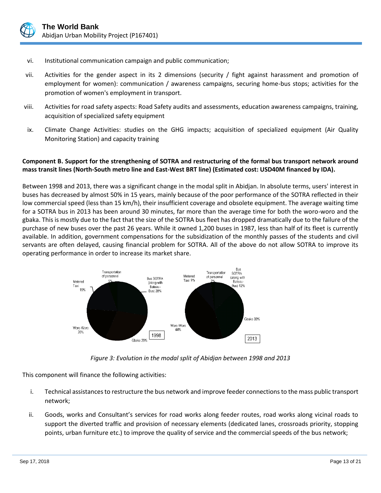

- vi. Institutional communication campaign and public communication;
- vii. Activities for the gender aspect in its 2 dimensions (security / fight against harassment and promotion of employment for women): communication / awareness campaigns, securing home-bus stops; activities for the promotion of women's employment in transport.
- viii. Activities for road safety aspects: Road Safety audits and assessments, education awareness campaigns, training, acquisition of specialized safety equipment
- ix. Climate Change Activities: studies on the GHG impacts; acquisition of specialized equipment (Air Quality Monitoring Station) and capacity training

# **Component B. Support for the strengthening of SOTRA and restructuring of the formal bus transport network around mass transit lines (North-South metro line and East-West BRT line) (Estimated cost: USD40M financed by IDA).**

Between 1998 and 2013, there was a significant change in the modal split in Abidjan. In absolute terms, users' interest in buses has decreased by almost 50% in 15 years, mainly because of the poor performance of the SOTRA reflected in their low commercial speed (less than 15 km/h), their insufficient coverage and obsolete equipment. The average waiting time for a SOTRA bus in 2013 has been around 30 minutes, far more than the average time for both the woro-woro and the gbaka. This is mostly due to the fact that the size of the SOTRA bus fleet has dropped dramatically due to the failure of the purchase of new buses over the past 26 years. While it owned 1,200 buses in 1987, less than half of its fleet is currently available. In addition, government compensations for the subsidization of the monthly passes of the students and civil servants are often delayed, causing financial problem for SOTRA. All of the above do not allow SOTRA to improve its operating performance in order to increase its market share.



*Figure 3: Evolution in the modal split of Abidjan between 1998 and 2013*

This component will finance the following activities:

- i. Technical assistances to restructure the bus network and improve feeder connections to the mass public transport network;
- ii. Goods, works and Consultant's services for road works along feeder routes, road works along vicinal roads to support the diverted traffic and provision of necessary elements (dedicated lanes, crossroads priority, stopping points, urban furniture etc.) to improve the quality of service and the commercial speeds of the bus network;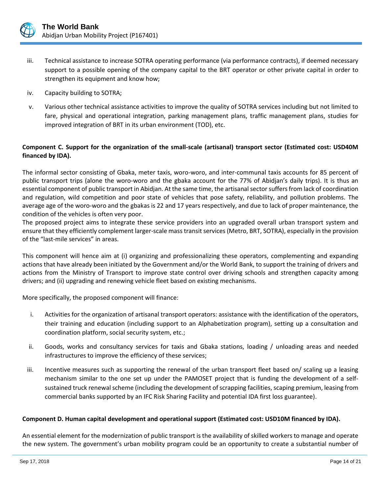

- iii. Technical assistance to increase SOTRA operating performance (via performance contracts), if deemed necessary support to a possible opening of the company capital to the BRT operator or other private capital in order to strengthen its equipment and know how;
- iv. Capacity building to SOTRA;
- v. Various other technical assistance activities to improve the quality of SOTRA services including but not limited to fare, physical and operational integration, parking management plans, traffic management plans, studies for improved integration of BRT in its urban environment (TOD), etc.

# **Component C. Support for the organization of the small-scale (artisanal) transport sector (Estimated cost: USD40M financed by IDA).**

The informal sector consisting of Gbaka, meter taxis, woro-woro, and inter-communal taxis accounts for 85 percent of public transport trips (alone the woro-woro and the gbaka account for the 77% of Abidjan's daily trips). It is thus an essential component of public transport in Abidjan. At the same time, the artisanal sector suffers from lack of coordination and regulation, wild competition and poor state of vehicles that pose safety, reliability, and pollution problems. The average age of the woro-woro and the gbakas is 22 and 17 years respectively, and due to lack of proper maintenance, the condition of the vehicles is often very poor.

The proposed project aims to integrate these service providers into an upgraded overall urban transport system and ensure that they efficiently complement larger-scale mass transit services (Metro, BRT, SOTRA), especially in the provision of the "last-mile services" in areas.

This component will hence aim at (i) organizing and professionalizing these operators, complementing and expanding actions that have already been initiated by the Government and/or the World Bank, to support the training of drivers and actions from the Ministry of Transport to improve state control over driving schools and strengthen capacity among drivers; and (ii) upgrading and renewing vehicle fleet based on existing mechanisms.

More specifically, the proposed component will finance:

- i. Activities for the organization of artisanal transport operators: assistance with the identification of the operators, their training and education (including support to an Alphabetization program), setting up a consultation and coordination platform, social security system, etc.;
- ii. Goods, works and consultancy services for taxis and Gbaka stations, loading / unloading areas and needed infrastructures to improve the efficiency of these services;
- iii. Incentive measures such as supporting the renewal of the urban transport fleet based on/ scaling up a leasing mechanism similar to the one set up under the PAMOSET project that is funding the development of a selfsustained truck renewal scheme (including the development of scrapping facilities, scaping premium, leasing from commercial banks supported by an IFC Risk Sharing Facility and potential IDA first loss guarantee).

#### **Component D. Human capital development and operational support (Estimated cost: USD10M financed by IDA).**

An essential element for the modernization of public transport is the availability of skilled workers to manage and operate the new system. The government's urban mobility program could be an opportunity to create a substantial number of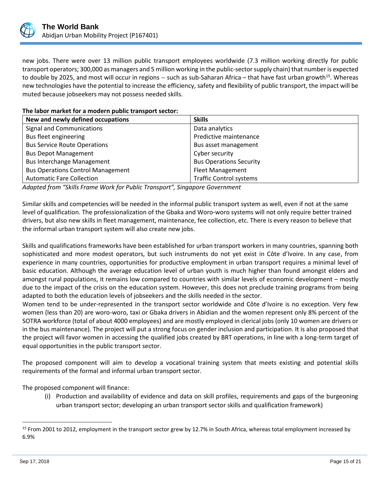

new jobs. There were over 13 million public transport employees worldwide (7.3 million working directly for public transport operators; 300,000 as managers and 5 million working in the public-sector supply chain) that number is expected to double by 2025, and most will occur in regions  $-$  such as sub-Saharan Africa – that have fast urban growth<sup>15</sup>. Whereas new technologies have the potential to increase the efficiency, safety and flexibility of public transport, the impact will be muted because jobseekers may not possess needed skills.

# **The labor market for a modern public transport sector:**

| New and newly defined occupations        | <b>Skills</b>                  |  |
|------------------------------------------|--------------------------------|--|
| Signal and Communications                | Data analytics                 |  |
| Bus fleet engineering                    | Predictive maintenance         |  |
| <b>Bus Service Route Operations</b>      | Bus asset management           |  |
| <b>Bus Depot Management</b>              | Cyber security                 |  |
| <b>Bus Interchange Management</b>        | <b>Bus Operations Security</b> |  |
| <b>Bus Operations Control Management</b> | <b>Fleet Management</b>        |  |
| <b>Automatic Fare Collection</b>         | <b>Traffic Control systems</b> |  |

*Adapted from "Skills Frame Work for Public Transport", Singapore Government*

Similar skills and competencies will be needed in the informal public transport system as well, even if not at the same level of qualification. The professionalization of the Gbaka and Woro-woro systems will not only require better trained drivers, but also new skills in fleet management, maintenance, fee collection, etc. There is every reason to believe that the informal urban transport system will also create new jobs.

Skills and qualifications frameworks have been established for urban transport workers in many countries, spanning both sophisticated and more modest operators, but such instruments do not yet exist in Côte d'Ivoire. In any case, from experience in many countries, opportunities for productive employment in urban transport requires a minimal level of basic education. Although the average education level of urban youth is much higher than found amongst elders and amongst rural populations, it remains low compared to countries with similar levels of economic development – mostly due to the impact of the crisis on the education system. However, this does not preclude training programs from being adapted to both the education levels of jobseekers and the skills needed in the sector.

Women tend to be under-represented in the transport sector worldwide and Côte d'Ivoire is no exception. Very few women (less than 20) are woro-woro, taxi or Gbaka drivers in Abidian and the women represent only 8% percent of the SOTRA workforce (total of about 4000 employees) and are mostly employed in clerical jobs (only 10 women are drivers or in the bus maintenance). The project will put a strong focus on gender inclusion and participation. It is also proposed that the project will favor women in accessing the qualified jobs created by BRT operations, in line with a long-term target of equal opportunities in the public transport sector.

The proposed component will aim to develop a vocational training system that meets existing and potential skills requirements of the formal and informal urban transport sector.

The proposed component will finance:

(i) Production and availability of evidence and data on skill profiles, requirements and gaps of the burgeoning urban transport sector; developing an urban transport sector skills and qualification framework)

 $15$  From 2001 to 2012, employment in the transport sector grew by 12.7% in South Africa, whereas total employment increased by 6.9%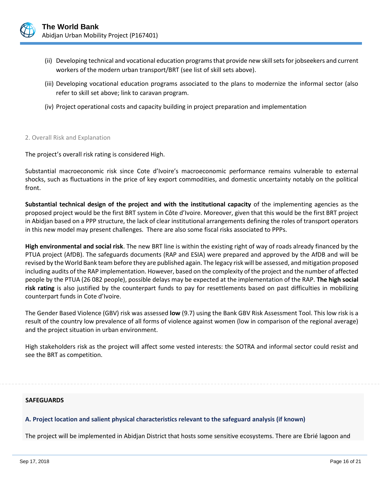

- (ii) Developing technical and vocational education programs that provide new skill sets for jobseekers and current workers of the modern urban transport/BRT (see list of skill sets above).
- (iii) Developing vocational education programs associated to the plans to modernize the informal sector (also refer to skill set above; link to caravan program.
- (iv) Project operational costs and capacity building in project preparation and implementation

#### 2. Overall Risk and Explanation

The project's overall risk rating is considered High.

Substantial macroeconomic risk since Cote d'Ivoire's macroeconomic performance remains vulnerable to external shocks, such as fluctuations in the price of key export commodities, and domestic uncertainty notably on the political front.

**Substantial technical design of the project and with the institutional capacity** of the implementing agencies as the proposed project would be the first BRT system in Côte d'Ivoire. Moreover, given that this would be the first BRT project in Abidjan based on a PPP structure, the lack of clear institutional arrangements defining the roles of transport operators in this new model may present challenges. There are also some fiscal risks associated to PPPs.

**High environmental and social risk**. The new BRT line is within the existing right of way of roads already financed by the PTUA project (AfDB). The safeguards documents (RAP and ESIA) were prepared and approved by the AfDB and will be revised by the World Bank team before they are published again. The legacy risk will be assessed, and mitigation proposed including audits of the RAP implementation. However, based on the complexity of the project and the number of affected people by the PTUA (26 082 people), possible delays may be expected at the implementation of the RAP. **The high social risk rating** is also justified by the counterpart funds to pay for resettlements based on past difficulties in mobilizing counterpart funds in Cote d'Ivoire.

The Gender Based Violence (GBV) risk was assessed **low** (9.7) using the Bank GBV Risk Assessment Tool. This low risk is a result of the country low prevalence of all forms of violence against women (low in comparison of the regional average) and the project situation in urban environment.

High stakeholders risk as the project will affect some vested interests: the SOTRA and informal sector could resist and see the BRT as competition.

#### **SAFEGUARDS**

#### **A. Project location and salient physical characteristics relevant to the safeguard analysis (if known)**

The project will be implemented in Abidjan District that hosts some sensitive ecosystems. There are Ebrié lagoon and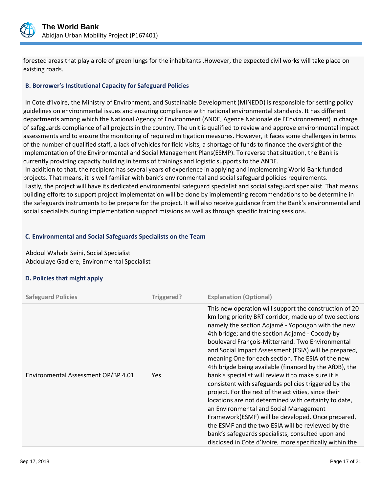

forested areas that play a role of green lungs for the inhabitants .However, the expected civil works will take place on existing roads.

# **B. Borrower's Institutional Capacity for Safeguard Policies**

In Cote d'Ivoire, the Ministry of Environment, and Sustainable Development (MINEDD) is responsible for setting policy guidelines on environmental issues and ensuring compliance with national environmental standards. It has different departments among which the National Agency of Environment (ANDE, Agence Nationale de l'Environnement) in charge of safeguards compliance of all projects in the country. The unit is qualified to review and approve environmental impact assessments and to ensure the monitoring of required mitigation measures. However, it faces some challenges in terms of the number of qualified staff, a lack of vehicles for field visits, a shortage of funds to finance the oversight of the implementation of the Environmental and Social Management Plans(ESMP). To reverse that situation, the Bank is currently providing capacity building in terms of trainings and logistic supports to the ANDE. In addition to that, the recipient has several years of experience in applying and implementing World Bank funded projects. That means, it is well familiar with bank's environmental and social safeguard policies requirements.

Lastly, the project will have its dedicated environmental safeguard specialist and social safeguard specialist. That means building efforts to support project implementation will be done by implementing recommendations to be determine in the safeguards instruments to be prepare for the project. It will also receive guidance from the Bank's environmental and social specialists during implementation support missions as well as through specific training sessions.

#### **C. Environmental and Social Safeguards Specialists on the Team**

Abdoul Wahabi Seini, Social Specialist Abdoulaye Gadiere, Environmental Specialist

#### **D. Policies that might apply**

| <b>Safeguard Policies</b>           | Triggered? | <b>Explanation (Optional)</b>                                                                                                                                                                                                                                                                                                                                                                                                                                                                                                                                                                                                                                                                                                                                                                                                                                                                                                                           |
|-------------------------------------|------------|---------------------------------------------------------------------------------------------------------------------------------------------------------------------------------------------------------------------------------------------------------------------------------------------------------------------------------------------------------------------------------------------------------------------------------------------------------------------------------------------------------------------------------------------------------------------------------------------------------------------------------------------------------------------------------------------------------------------------------------------------------------------------------------------------------------------------------------------------------------------------------------------------------------------------------------------------------|
| Environmental Assessment OP/BP 4.01 | <b>Yes</b> | This new operation will support the construction of 20<br>km long priority BRT corridor, made up of two sections<br>namely the section Adjamé - Yopougon with the new<br>4th bridge; and the section Adjamé - Cocody by<br>boulevard François-Mitterrand. Two Environmental<br>and Social Impact Assessment (ESIA) will be prepared,<br>meaning One for each section. The ESIA of the new<br>4th brigde being available (financed by the AfDB), the<br>bank's specialist will review it to make sure it is<br>consistent with safeguards policies triggered by the<br>project. For the rest of the activities, since their<br>locations are not determined with certainty to date,<br>an Environmental and Social Management<br>Framework(ESMF) will be developed. Once prepared,<br>the ESMF and the two ESIA will be reviewed by the<br>bank's safeguards specialists, consulted upon and<br>disclosed in Cote d'Ivoire, more specifically within the |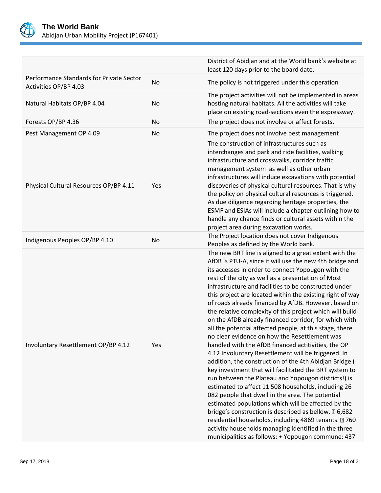

|                                                                   |     | District of Abidjan and at the World bank's website at<br>least 120 days prior to the board date.                                                                                                                                                                                                                                                                                                                                                                                                                                                                                                                                                                                                                                                                                                                                                                                                                                                                                                                                                                                                                                                                                                                                                                                                                                      |
|-------------------------------------------------------------------|-----|----------------------------------------------------------------------------------------------------------------------------------------------------------------------------------------------------------------------------------------------------------------------------------------------------------------------------------------------------------------------------------------------------------------------------------------------------------------------------------------------------------------------------------------------------------------------------------------------------------------------------------------------------------------------------------------------------------------------------------------------------------------------------------------------------------------------------------------------------------------------------------------------------------------------------------------------------------------------------------------------------------------------------------------------------------------------------------------------------------------------------------------------------------------------------------------------------------------------------------------------------------------------------------------------------------------------------------------|
| Performance Standards for Private Sector<br>Activities OP/BP 4.03 | No  | The policy is not triggered under this operation                                                                                                                                                                                                                                                                                                                                                                                                                                                                                                                                                                                                                                                                                                                                                                                                                                                                                                                                                                                                                                                                                                                                                                                                                                                                                       |
| Natural Habitats OP/BP 4.04                                       | No  | The project activities will not be implemented in areas<br>hosting natural habitats. All the activities will take<br>place on existing road-sections even the expressway.                                                                                                                                                                                                                                                                                                                                                                                                                                                                                                                                                                                                                                                                                                                                                                                                                                                                                                                                                                                                                                                                                                                                                              |
| Forests OP/BP 4.36                                                | No  | The project does not involve or affect forests.                                                                                                                                                                                                                                                                                                                                                                                                                                                                                                                                                                                                                                                                                                                                                                                                                                                                                                                                                                                                                                                                                                                                                                                                                                                                                        |
| Pest Management OP 4.09                                           | No  | The project does not involve pest management                                                                                                                                                                                                                                                                                                                                                                                                                                                                                                                                                                                                                                                                                                                                                                                                                                                                                                                                                                                                                                                                                                                                                                                                                                                                                           |
| Physical Cultural Resources OP/BP 4.11                            | Yes | The construction of infrastructures such as<br>interchanges and park and ride facilities, walking<br>infrastructure and crosswalks, corridor traffic<br>management system as well as other urban<br>infrastructures will induce excavations with potential<br>discoveries of physical cultural resources. That is why<br>the policy on physical cultural resources is triggered.<br>As due diligence regarding heritage properties, the<br>ESMF and ESIAs will include a chapter outlining how to<br>handle any chance finds or cultural assets within the<br>project area during excavation works.                                                                                                                                                                                                                                                                                                                                                                                                                                                                                                                                                                                                                                                                                                                                    |
| Indigenous Peoples OP/BP 4.10                                     | No  | The Project location does not cover Indigenous<br>Peoples as defined by the World bank.                                                                                                                                                                                                                                                                                                                                                                                                                                                                                                                                                                                                                                                                                                                                                                                                                                                                                                                                                                                                                                                                                                                                                                                                                                                |
| Involuntary Resettlement OP/BP 4.12                               | Yes | The new BRT line is aligned to a great extent with the<br>AfDB 's PTU-A, since it will use the new 4th bridge and<br>its accesses in order to connect Yopougon with the<br>rest of the city as well as a presentation of Most<br>infrastructure and facilities to be constructed under<br>this project are located within the existing right of way<br>of roads already financed by AfDB. However, based on<br>the relative complexity of this project which will build<br>on the AfDB already financed corridor, for which with<br>all the potential affected people, at this stage, there<br>no clear evidence on how the Resettlement was<br>handled with the AfDB financed actitivities, the OP<br>4.12 Involuntary Resettlement will be triggered. In<br>addition, the construction of the 4th Abidjan Bridge (<br>key investment that will facilitated the BRT system to<br>run between the Plateau and Yopougon districts!) is<br>estimated to affect 11 508 households, including 26<br>082 people that dwell in the area. The potential<br>estimated populations which will be affected by the<br>bridge's construction is described as bellow. 2 6,682<br>residential households, including 4869 tenants. 2760<br>activity households managing identified in the three<br>municipalities as follows: • Yopougon commune: 437 |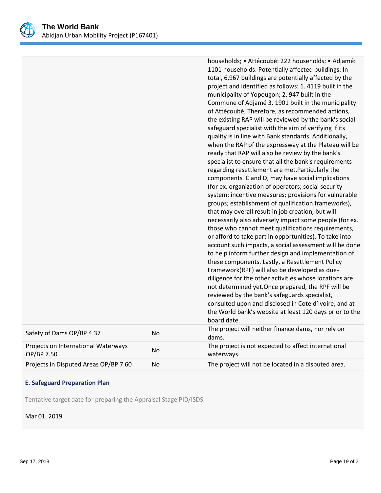

|                                                   |    | households; • Attécoubé: 222 households; • Adjamé:<br>1101 households. Potentially affected buildings: In<br>total, 6,967 buildings are potentially affected by the<br>project and identified as follows: 1. 4119 built in the<br>municipality of Yopougon; 2. 947 built in the<br>Commune of Adjamé 3. 1901 built in the municipality<br>of Attécoubé; Therefore, as recommended actions,<br>the existing RAP will be reviewed by the bank's social<br>safeguard specialist with the aim of verifying if its<br>quality is in line with Bank standards. Additionally,<br>when the RAP of the expressway at the Plateau will be<br>ready that RAP will also be review by the bank's<br>specialist to ensure that all the bank's requirements<br>regarding resettlement are met. Particularly the<br>components C and D, may have social implications<br>(for ex. organization of operators; social security<br>system; incentive measures; provisions for vulnerable<br>groups; establishment of qualification frameworks),<br>that may overall result in job creation, but will<br>necessarily also adversely impact some people (for ex.<br>those who cannot meet qualifications requirements,<br>or afford to take part in opportunities). To take into<br>account such impacts, a social assessment will be done<br>to help inform further design and implementation of<br>these components. Lastly, a Resettlement Policy<br>Framework(RPF) will also be developed as due-<br>diligence for the other activities whose locations are<br>not determined yet. Once prepared, the RPF will be<br>reviewed by the bank's safeguards specialist,<br>consulted upon and disclosed in Cote d'Ivoire, and at<br>the World bank's website at least 120 days prior to the<br>board date. |
|---------------------------------------------------|----|-------------------------------------------------------------------------------------------------------------------------------------------------------------------------------------------------------------------------------------------------------------------------------------------------------------------------------------------------------------------------------------------------------------------------------------------------------------------------------------------------------------------------------------------------------------------------------------------------------------------------------------------------------------------------------------------------------------------------------------------------------------------------------------------------------------------------------------------------------------------------------------------------------------------------------------------------------------------------------------------------------------------------------------------------------------------------------------------------------------------------------------------------------------------------------------------------------------------------------------------------------------------------------------------------------------------------------------------------------------------------------------------------------------------------------------------------------------------------------------------------------------------------------------------------------------------------------------------------------------------------------------------------------------------------------------------------------------------------------------------------------------------------------------|
| Safety of Dams OP/BP 4.37                         | No | The project will neither finance dams, nor rely on<br>dams.                                                                                                                                                                                                                                                                                                                                                                                                                                                                                                                                                                                                                                                                                                                                                                                                                                                                                                                                                                                                                                                                                                                                                                                                                                                                                                                                                                                                                                                                                                                                                                                                                                                                                                                         |
| Projects on International Waterways<br>OP/BP 7.50 | No | The project is not expected to affect international<br>waterways.                                                                                                                                                                                                                                                                                                                                                                                                                                                                                                                                                                                                                                                                                                                                                                                                                                                                                                                                                                                                                                                                                                                                                                                                                                                                                                                                                                                                                                                                                                                                                                                                                                                                                                                   |
| Projects in Disputed Areas OP/BP 7.60             | No | The project will not be located in a disputed area.                                                                                                                                                                                                                                                                                                                                                                                                                                                                                                                                                                                                                                                                                                                                                                                                                                                                                                                                                                                                                                                                                                                                                                                                                                                                                                                                                                                                                                                                                                                                                                                                                                                                                                                                 |

# **E. Safeguard Preparation Plan**

Tentative target date for preparing the Appraisal Stage PID/ISDS

Mar 01, 2019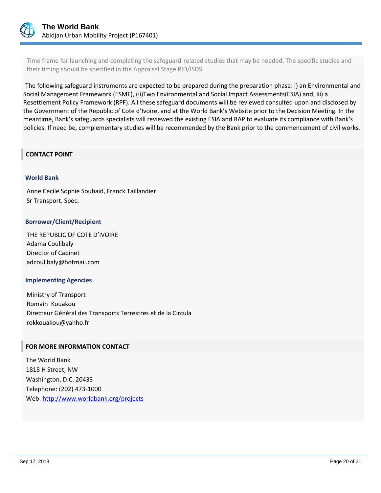

Time frame for launching and completing the safeguard-related studies that may be needed. The specific studies and their timing should be specified in the Appraisal Stage PID/ISDS

The following safeguard instruments are expected to be prepared during the preparation phase: i) an Environmental and Social Management Framework (ESMF), (ii)Two Environmental and Social Impact Assessments(ESIA) and, iii) a Resettlement Policy Framework (RPF). All these safeguard documents will be reviewed consulted upon and disclosed by the Government of the Republic of Cote d'Ivoire, and at the World Bank's Website prior to the Decision Meeting. In the meantime, Bank's safeguards specialists will reviewed the existing ESIA and RAP to evaluate its compliance with Bank's policies. If need be, complementary studies will be recommended by the Bank prior to the commencement of civil works.

#### **CONTACT POINT**

#### **World Bank**

Anne Cecile Sophie Souhaid, Franck Taillandier Sr Transport. Spec.

#### **Borrower/Client/Recipient**

THE REPUBLIC OF COTE D'IVOIRE Adama Coulibaly Director of Cabinet adcoulibaly@hotmail.com

#### **Implementing Agencies**

Ministry of Transport Romain Kouakou Directeur Général des Transports Terrestres et de la Circula rokkouakou@yahho.fr

#### **FOR MORE INFORMATION CONTACT**

The World Bank 1818 H Street, NW Washington, D.C. 20433 Telephone: (202) 473-1000 Web:<http://www.worldbank.org/projects>